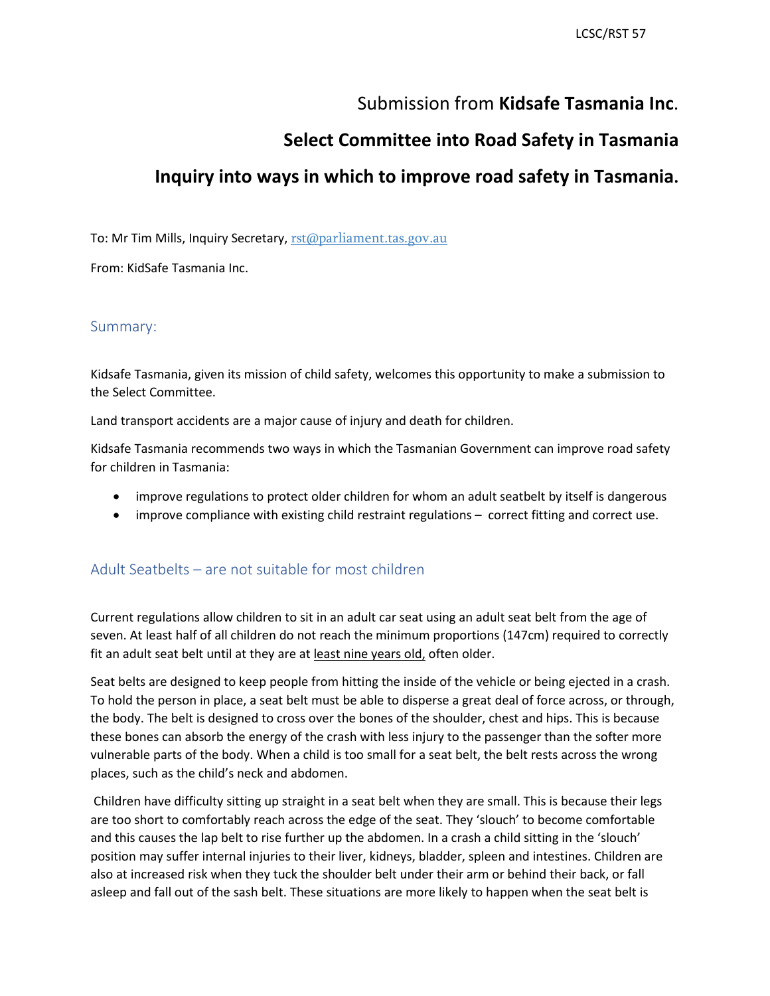## Submission from **Kidsafe Tasmania Inc**.

## **Select Committee into Road Safety in Tasmania**

# **Inquiry into ways in which to improve road safety in Tasmania.**

To: Mr Tim Mills, Inquiry Secretary, [rst@parliament.tas.gov.au](mailto:rst@parliament.tas.gov.au)

From: KidSafe Tasmania Inc.

#### Summary:

 Kidsafe Tasmania, given its mission of child safety, welcomes this opportunity to make a submission to the Select Committee.

Land transport accidents are a major cause of injury and death for children.

Kidsafe Tasmania recommends two ways in which the Tasmanian Government can improve road safety for children in Tasmania:

- improve regulations to protect older children for whom an adult seatbelt by itself is dangerous
- improve compliance with existing child restraint regulations correct fitting and correct use.

#### Adult Seatbelts – are not suitable for most children

 Current regulations allow children to sit in an adult car seat using an adult seat belt from the age of fit an adult seat belt until at they are at least nine years old, often older. seven. At least half of all children do not reach the minimum proportions (147cm) required to correctly

 To hold the person in place, a seat belt must be able to disperse a great deal of force across, or through, these bones can absorb the energy of the crash with less injury to the passenger than the softer more vulnerable parts of the body. When a child is too small for a seat belt, the belt rests across the wrong Seat belts are designed to keep people from hitting the inside of the vehicle or being ejected in a crash. the body. The belt is designed to cross over the bones of the shoulder, chest and hips. This is because places, such as the child's neck and abdomen.

 Children have difficulty sitting up straight in a seat belt when they are small. This is because their legs asleep and fall out of the sash belt. These situations are more likely to happen when the seat belt is are too short to comfortably reach across the edge of the seat. They 'slouch' to become comfortable and this causes the lap belt to rise further up the abdomen. In a crash a child sitting in the 'slouch' position may suffer internal injuries to their liver, kidneys, bladder, spleen and intestines. Children are also at increased risk when they tuck the shoulder belt under their arm or behind their back, or fall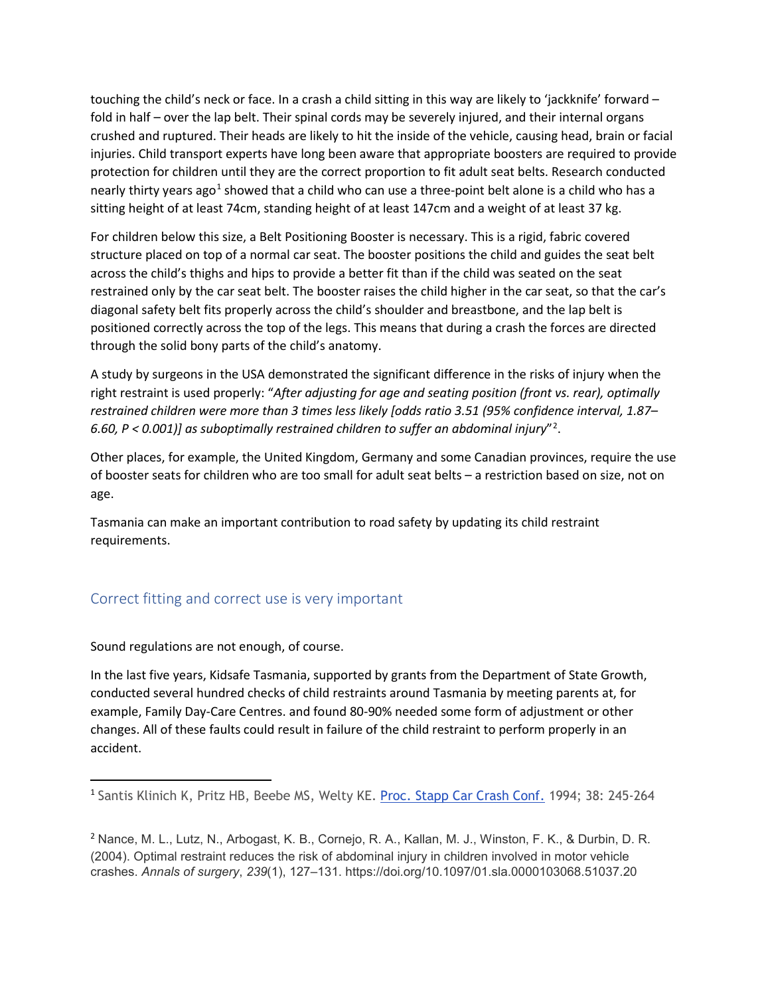fold in half – over the lap belt. Their spinal cords may be severely injured, and their internal organs injuries. Child transport experts have long been aware that appropriate boosters are required to provide sitting height of at least 74cm, standing height of at least 147cm and a weight of at least 37 kg. touching the child's neck or face. In a crash a child sitting in this way are likely to 'jackknife' forward – crushed and ruptured. Their heads are likely to hit the inside of the vehicle, causing head, brain or facial protection for children until they are the correct proportion to fit adult seat belts. Research conducted nearly thirty years ago<sup>1</sup> showed that a child who can use a three-point belt alone is a child who has a

 structure placed on top of a normal car seat. The booster positions the child and guides the seat belt restrained only by the car seat belt. The booster raises the child higher in the car seat, so that the car's positioned correctly across the top of the legs. This means that during a crash the forces are directed For children below this size, a Belt Positioning Booster is necessary. This is a rigid, fabric covered across the child's thighs and hips to provide a better fit than if the child was seated on the seat diagonal safety belt fits properly across the child's shoulder and breastbone, and the lap belt is through the solid bony parts of the child's anatomy.

 *6.60, P < 0.001)] as suboptimally restrained children to suffer an abdominal injury*"[2](#page-1-1) . A study by surgeons in the USA demonstrated the significant difference in the risks of injury when the right restraint is used properly: "*After adjusting for age and seating position (front vs. rear), optimally restrained children were more than 3 times less likely [odds ratio 3.51 (95% confidence interval, 1.87–* 

 Other places, for example, the United Kingdom, Germany and some Canadian provinces, require the use of booster seats for children who are too small for adult seat belts – a restriction based on size, not on age.

Tasmania can make an important contribution to road safety by updating its child restraint requirements.

### Correct fitting and correct use is very important

Sound regulations are not enough, of course.

**.** 

 In the last five years, Kidsafe Tasmania, supported by grants from the Department of State Growth, conducted several hundred checks of child restraints around Tasmania by meeting parents at, for example, Family Day-Care Centres. and found 80-90% needed some form of adjustment or other changes. All of these faults could result in failure of the child restraint to perform properly in an accident.

<span id="page-1-0"></span><sup>&</sup>lt;sup>1</sup> Santis Klinich K, Pritz HB, Beebe MS, Welty KE. [Proc. Stapp Car Crash Conf.](https://www.safetylit.org/week/journalpage.php?jid=7148) 1994; 38: 245-264

<span id="page-1-1"></span><sup>&</sup>lt;sup>2</sup> Nance, M. L., Lutz, N., Arbogast, K. B., Cornejo, R. A., Kallan, M. J., Winston, F. K., & Durbin, D. R. (2004). Optimal restraint reduces the risk of abdominal injury in children involved in motor vehicle crashes. *Annals of surgery*, *239*(1), 127–131. <https://doi.org/10.1097/01.sla.0000103068.51037.20>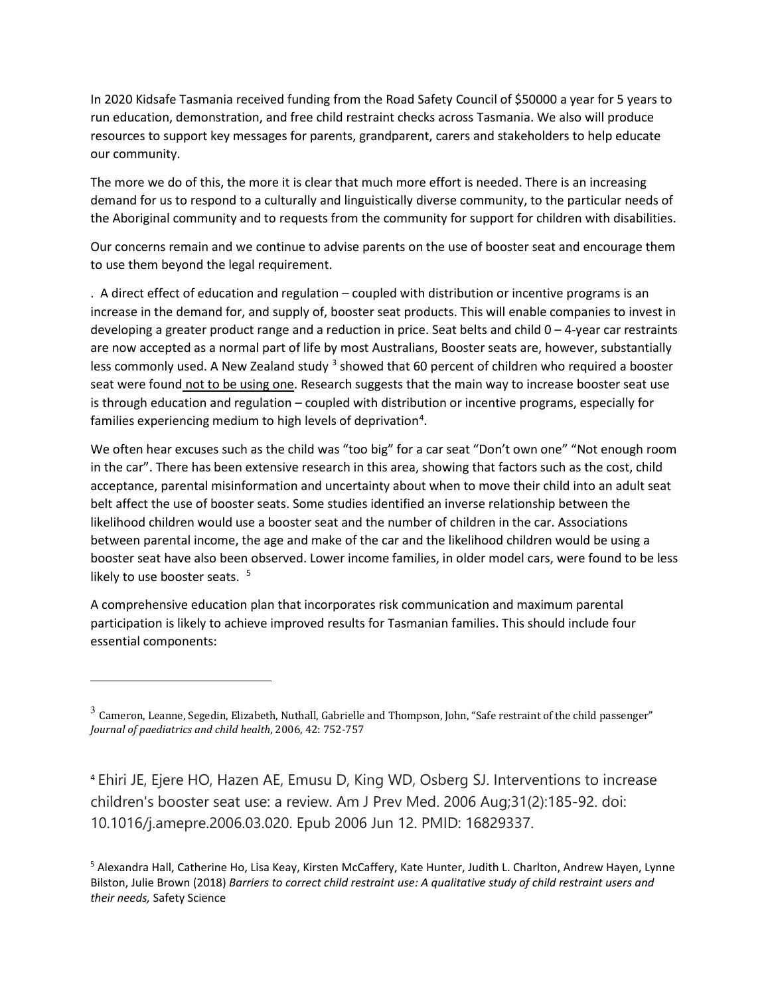In 2020 Kidsafe Tasmania received funding from the Road Safety Council of \$50000 a year for 5 years to run education, demonstration, and free child restraint checks across Tasmania. We also will produce resources to support key messages for parents, grandparent, carers and stakeholders to help educate our community.

 The more we do of this, the more it is clear that much more effort is needed. There is an increasing demand for us to respond to a culturally and linguistically diverse community, to the particular needs of the Aboriginal community and to requests from the community for support for children with disabilities.

Our concerns remain and we continue to advise parents on the use of booster seat and encourage them to use them beyond the legal requirement.

 increase in the demand for, and supply of, booster seat products. This will enable companies to invest in developing a greater product range and a reduction in price. Seat belts and child 0 – 4-year car restraints are now accepted as a normal part of life by most Australians, Booster seats are, however, substantially less commonly used. A New Zealand study <sup>3</sup> showed that 60 percent of children who required a booster . A direct effect of education and regulation – coupled with distribution or incentive programs is an seat were found not to be using one. Research suggests that the main way to increase booster seat use is through education and regulation – coupled with distribution or incentive programs, especially for families experiencing medium to high levels of deprivation<sup>[4](#page-2-1)</sup>.

 We often hear excuses such as the child was "too big" for a car seat "Don't own one" "Not enough room in the car". There has been extensive research in this area, showing that factors such as the cost, child between parental income, the age and make of the car and the likelihood children would be using a acceptance, parental misinformation and uncertainty about when to move their child into an adult seat belt affect the use of booster seats. Some studies identified an inverse relationship between the likelihood children would use a booster seat and the number of children in the car. Associations booster seat have also been observed. Lower income families, in older model cars, were found to be less likely to use booster seats.  $5$ 

A comprehensive education plan that incorporates risk communication and maximum parental participation is likely to achieve improved results for Tasmanian families. This should include four essential components:

l

<span id="page-2-1"></span><sup>4</sup>Ehiri JE, Ejere HO, Hazen AE, Emusu D, King WD, Osberg SJ. Interventions to increase children's booster seat use: a review. Am J Prev Med. 2006 Aug;31(2):185-92. doi: 10.1016/j.amepre.2006.03.020. Epub 2006 Jun 12. PMID: 16829337.

<span id="page-2-2"></span>5 Alexandra Hall, Catherine Ho, Lisa Keay, Kirsten McCaffery, Kate Hunter, Judith L. Charlton, Andrew Hayen, Lynne Bilston, Julie Brown (2018) *Barriers to correct child restraint use: A qualitative study of child restraint users and their needs,* Safety Science

<span id="page-2-0"></span> $^3$  Cameron, Leanne, Segedin, Elizabeth, Nuthall, Gabrielle and Thompson, John, "Safe restraint of the child passenger" *Journal of paediatrics and child health*, 2006, 42: 752-757